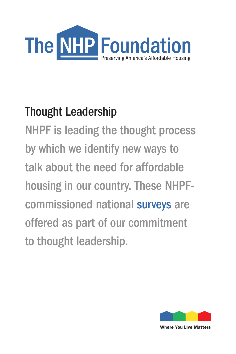

# Thought Leadership

NHPF is leading the thought process by which we identify new ways to talk about the need for affordable housing in our country. These NHPFcommissioned national surveys are offered as part of our commitment to thought leadership.



Where You Live Matters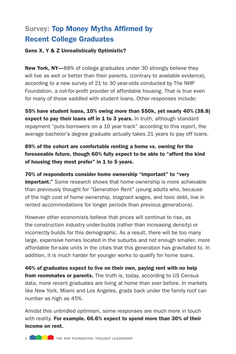## Survey: Top Money Myths Affirmed by Recent College Graduates

#### Gens X, Y & Z Unrealistically Optimistic?

New York, NY-88% of college graduates under 30 strongly believe they will live as well or better than their parents, (contrary to available evidence), according to a new survey of 21 to 30 year-olds conducted by The NHP Foundation, a not-for-profit provider of affordable housing. That is true even for many of those saddled with student loans. Other responses include:

55% have student loans, 10% owing more than \$50k, yet nearly 40% (38.8) expect to pay their loans off in 1 to 3 years. In truth, although standard repayment "puts borrowers on a 10 year track" according to this report, the average bachelor's degree graduate actually takes 21 years to pay off loans.

89% of the cohort are comfortable renting a home vs. owning for the foreseeable future, though 60% fully expect to be able to "afford the kind of housing they most prefer" in 1 to 5 years.

70% of respondents consider home ownership "important" to "very **important."** Some research shows that home ownership is more achievable than previously thought for "Generation Rent" (young adults who, because of the high cost of home ownership, stagnant wages, and toxic debt, live in rented accommodations for longer periods than previous generations).

However other economists believe that prices will continue to rise, as the construction industry under-builds (rather than increasing density) or incorrectly builds for this demographic. As a result, there will be too many large, expensive homes located in the suburbs and not enough smaller, more affordable for-sale units in the cities that this generation has gravitated to. In addition, it is much harder for younger works to qualify for home loans.

46% of graduates expect to live on their own, paying rent with no help from roommates or parents. The truth is, today, according to US Census data, more recent graduates are living at home than ever before. In markets like New York, Miami and Los Angeles, grads back under the family roof can number as high as 45%.

Amidst this unbridled optimism, some responses are much more in touch with reality. For example, 66.6% expect to spend more than 30% of their income on rent.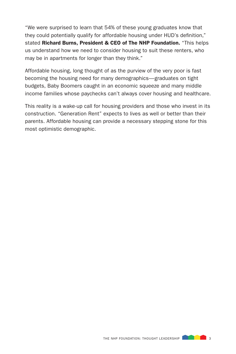"We were surprised to learn that 54% of these young graduates know that they could potentially qualify for affordable housing under HUD's definition," stated Richard Burns, President & CEO of The NHP Foundation. "This helps us understand how we need to consider housing to suit these renters, who may be in apartments for longer than they think."

Affordable housing, long thought of as the purview of the very poor is fast becoming the housing need for many demographics—graduates on tight budgets, Baby Boomers caught in an economic squeeze and many middle income families whose paychecks can't always cover housing and healthcare.

This reality is a wake-up call for housing providers and those who invest in its construction. "Generation Rent" expects to lives as well or better than their parents. Affordable housing can provide a necessary stepping stone for this most optimistic demographic.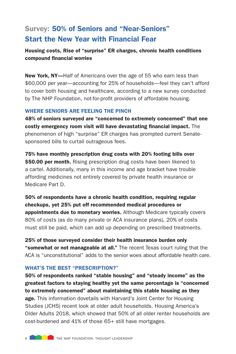### Survey: 50% of Seniors and "Near-Seniors" Start the New Year with Financial Fear

#### Housing costs, Rise of "surprise" ER charges, chronic health conditions compound financial worries

New York, NY-Half of Americans over the age of 55 who earn less than \$60,000 per year—accounting for 25% of households—feel they can't afford to cover both housing and healthcare, according to a new survey conducted by The NHP Foundation, not-for-profit providers of affordable housing.

#### WHERE SENIORS ARE FEELING THE PINCH

48% of seniors surveyed are "concerned to extremely concerned" that one costly emergency room visit will have devastating financial impact. The phenomenon of high "surprise" ER charges has prompted current Senatesponsored bills to curtail outrageous fees.

75% have monthly prescription drug costs with 20% footing bills over \$50.00 per month. Rising prescription drug costs have been likened to a cartel. Additionally, many in this income and age bracket have trouble affording medicines not entirely covered by private health insurance or Medicare Part D.

50% of respondents have a chronic health condition, requiring regular checkups, yet 25% put off recommended medical procedures or appointments due to monetary worries. Although Medicare typically covers 80% of costs (as do many private or ACA insurance plans), 20% of costs must still be paid, which can add up depending on prescribed treatments.

25% of those surveyed consider their health insurance burden only **"somewhat or not manageable at all."** The recent Texas court ruling that the ACA is "unconstitutional" adds to the senior woes about affordable health care.

#### WHAT'S THE BEST "PRESCRIPTION?"

50% of respondents ranked "stable housing" and "steady income" as the greatest factors to staying healthy yet the same percentage is "concerned to extremely concerned" about maintaining this stable housing as they age. This information dovetails with Harvard's Joint Center for Housing Studies (JCHS) recent look at older adult households. Housing America's Older Adults 2018, which showed that 50% of all older renter households are cost-burdened and 41% of those 65+ still have mortgages.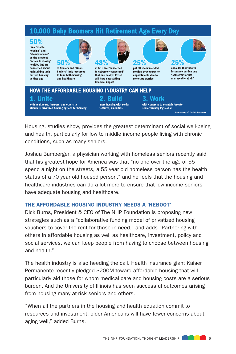### 10,000 Baby Boomers Hit Retirement Age Every Day

#### 50%

rank "stable housing" and "steady income" as the greatest factors to staying healthy, but are concerned about maintaining their current housing as they age



of Seniors and "Near-Seniors" lack resources to fund both housing and healthcare



of 55+ are "concerned to extremely concerned" that one costly ER visit will have devastating financial impact

25%

put off recommended medical procedures or appointments due to monetary worries



consider their health insurance burden only "somewhat or not manageable at all"

#### HOW THE AFFORDABLE HOUSING INDUSTRY CAN HELP 3. Work 1. Unite 2. Build with healthcare, insurers, and others to with Congress to maintain/create more housing with senior stimulate privatized funding options for housing senior-friendly legislation features, amenities **Data courtesy of The NHP Foundation**

Housing, studies show, provides the greatest determinant of social well-being and health, particularly for low to middle income people living with chronic conditions, such as many seniors.

Joshua Bamberger, a physician working with homeless seniors recently said that his greatest hope for America was that "no one over the age of 55 spend a night on the streets, a 55 year old homeless person has the health status of a 70 year old housed person," and he feels that the housing and healthcare industries can do a lot more to ensure that low income seniors have adequate housing and healthcare.

#### THE AFFORDABLE HOUSING INDUSTRY NEEDS A 'REBOOT'

Dick Burns, President & CEO of The NHP Foundation is proposing new strategies such as a "collaborative funding model of privatized housing vouchers to cover the rent for those in need," and adds "Partnering with others in affordable housing as well as healthcare, investment, policy and social services, we can keep people from having to choose between housing and health."

The health industry is also heeding the call. Health insurance giant Kaiser Permanente recently pledged \$200M toward affordable housing that will particularly aid those for whom medical care and housing costs are a serious burden. And the University of Illinois has seen successful outcomes arising from housing many at-risk seniors and others.

"When all the partners in the housing and health equation commit to resources and investment, older Americans will have fewer concerns about aging well," added Burns.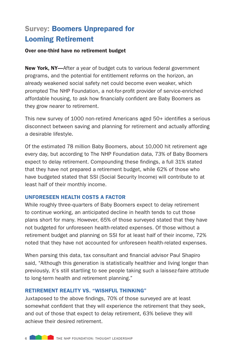### Survey: Boomers Unprepared for Looming Retirement

#### Over one-third have no retirement budget

New York, NY-After a year of budget cuts to various federal government programs, and the potential for entitlement reforms on the horizon, an already weakened social safety net could become even weaker, which prompted The NHP Foundation, a not-for-profit provider of service-enriched affordable housing, to ask how financially confident are Baby Boomers as they grow nearer to retirement.

This new survey of 1000 non-retired Americans aged 50+ identifies a serious disconnect between saving and planning for retirement and actually affording a desirable lifestyle.

Of the estimated 78 million Baby Boomers, about 10,000 hit retirement age every day, but according to The NHP Foundation data, 73% of Baby Boomers expect to delay retirement. Compounding these findings, a full 31% stated that they have not prepared a retirement budget, while 62% of those who have budgeted stated that SSI (Social Security Income) will contribute to at least half of their monthly income.

#### UNFORESEEN HEALTH COSTS A FACTOR

While roughly three-quarters of Baby Boomers expect to delay retirement to continue working, an anticipated decline in health tends to cut those plans short for many. However, 65% of those surveyed stated that they have not budgeted for unforeseen health-related expenses. Of those without a retirement budget and planning on SSI for at least half of their income, 72% noted that they have not accounted for unforeseen health-related expenses.

When parsing this data, tax consultant and financial advisor Paul Shapiro said, "Although this generation is statistically healthier and living longer than previously, it's still startling to see people taking such a laissez-faire attitude to long-term health and retirement planning."

#### RETIREMENT REALITY VS. "WISHFUL THINKING"

Juxtaposed to the above findings, 70% of those surveyed are at least somewhat confident that they will experience the retirement that they seek, and out of those that expect to delay retirement, 63% believe they will achieve their desired retirement.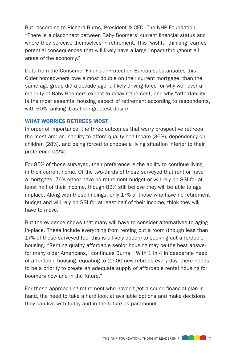But, according to Richard Burns, President & CEO, The NHP Foundation, "There is a disconnect between Baby Boomers' current financial status and where they perceive themselves in retirement. This 'wishful thinking' carries potential consequences that will likely have a large impact throughout all areas of the economy."

Data from the Consumer Financial Protection Bureau substantiates this. Older homeowners owe almost double on their current mortgage, than the same age group did a decade ago, a likely driving force for why well over a majority of Baby Boomers expect to delay retirement, and why "affordability" is the most essential housing aspect of retirement according to respondents, with 60% ranking it as their greatest desire.

#### WHAT WORRIES RETIREES MOST

In order of importance, the three outcomes that worry prospective retirees the most are: an inability to afford quality healthcare (36%), dependency on children (28%), and being forced to choose a living situation inferior to their preference (22%).

For 85% of those surveyed, their preference is the ability to continue living in their current home. Of the two-thirds of those surveyed that rent or have a mortgage, 76% either have no retirement budget or will rely on SSI for at least half of their income, though 83% still believe they will be able to age in-place. Along with these findings, only 17% of those who have no retirement budget and will rely on SSI for at least half of their income, think they will have to move.

But the evidence shows that many will have to consider alternatives to aging in-place. These include everything from renting out a room (though less than 17% of those surveyed feel this is a likely option) to seeking out affordable housing. "Renting quality affordable senior housing may be the best answer for many older Americans," continues Burns, "With 1 in 4 in desperate need of affordable housing, equating to 2,500 new retirees every day, there needs to be a priority to create an adequate supply of affordable rental housing for boomers now and in the future."

For those approaching retirement who haven't got a sound financial plan in hand, the need to take a hard look at available options and make decisions they can live with today and in the future, is paramount.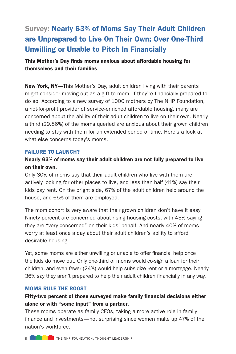## Survey: Nearly 63% of Moms Say Their Adult Children are Unprepared to Live On Their Own; Over One-Third Unwilling or Unable to Pitch In Financially

#### This Mother's Day finds moms anxious about affordable housing for themselves and their families

New York, NY-This Mother's Day, adult children living with their parents might consider moving out as a gift to mom, if they're financially prepared to do so. According to a new survey of 1000 mothers by The NHP Foundation, a not-for-profit provider of service-enriched affordable housing, many are concerned about the ability of their adult children to live on their own. Nearly a third (29.86%) of the moms queried are anxious about their grown children needing to stay with them for an extended period of time. Here's a look at what else concerns today's moms.

#### FAILURE TO LAUNCH?

#### Nearly 63% of moms say their adult children are not fully prepared to live on their own.

Only 30% of moms say that their adult children who live with them are actively looking for other places to live, and less than half (41%) say their kids pay rent. On the bright side, 67% of the adult children help around the house, and 65% of them are employed.

The mom cohort is very aware that their grown children don't have it easy. Ninety percent are concerned about rising housing costs, with 43% saying they are "very concerned" on their kids' behalf. And nearly 40% of moms worry at least once a day about their adult children's ability to afford desirable housing.

Yet, some moms are either unwilling or unable to offer financial help once the kids do move out. Only one-third of moms would co-sign a loan for their children, and even fewer (24%) would help subsidize rent or a mortgage. Nearly 36% say they aren't prepared to help their adult children financially in any way.

#### MOMS RULE THE ROOST

#### Fifty-two percent of those surveyed make family financial decisions either alone or with "some input" from a partner.

These moms operate as family CFOs, taking a more active role in family finance and investments—not surprising since women make up 47% of the nation's workforce.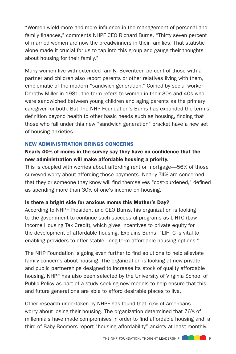"Women wield more and more influence in the management of personal and family finances," comments NHPF CEO Richard Burns, "Thirty seven percent of married women are now the breadwinners in their families. That statistic alone made it crucial for us to tap into this group and gauge their thoughts about housing for their family."

Many women live with extended family. Seventeen percent of those with a partner and children also report parents or other relatives living with them, emblematic of the modern "sandwich generation." Coined by social worker Dorothy Miller in 1981, the term refers to women in their 30s and 40s who were sandwiched between young children and aging parents as the primary caregiver for both. But The NHP Foundation's Burns has expanded the term's definition beyond health to other basic needs such as housing, finding that those who fall under this new "sandwich generation" bracket have a new set of housing anxieties.

#### NEW ADMINISTRATION BRINGS CONCERNS

#### Nearly 40% of moms in the survey say they have no confidence that the new administration will make affordable housing a priority.

This is coupled with worries about affording rent or mortgage—56% of those surveyed worry about affording those payments. Nearly 74% are concerned that they or someone they know will find themselves "cost-burdened," defined as spending more than 30% of one's income on housing.

#### Is there a bright side for anxious moms this Mother's Day?

According to NHPF President and CEO Burns, his organization is looking to the government to continue such successful programs as LIHTC (Low Income Housing Tax Credit), which gives incentives to private equity for the development of affordable housing. Explains Burns, "LIHTC is vital to enabling providers to offer stable, long-term affordable housing options."

The NHP Foundation is going even further to find solutions to help alleviate family concerns about housing. The organization is looking at new private and public partnerships designed to increase its stock of quality affordable housing. NHPF has also been selected by the University of Virginia School of Public Policy as part of a study seeking new models to help ensure that this and future generations are able to afford desirable places to live.

Other research undertaken by NHPF has found that 75% of Americans worry about losing their housing. The organization determined that 76% of millennials have made compromises in order to find affordable housing and, a third of Baby Boomers report "housing affordability" anxiety at least monthly.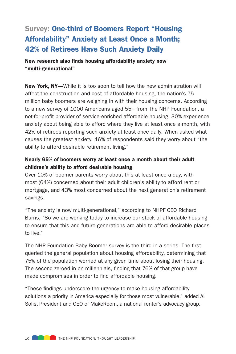### Survey: One-third of Boomers Report "Housing Affordability" Anxiety at Least Once a Month; 42% of Retirees Have Such Anxiety Daily

New research also finds housing affordability anxiety now "multi-generational"

New York, NY-While it is too soon to tell how the new administration will affect the construction and cost of affordable housing, the nation's 75 million baby boomers are weighing in with their housing concerns. According to a new survey of 1000 Americans aged 55+ from The NHP Foundation, a not-for-profit provider of service-enriched affordable housing, 30% experience anxiety about being able to afford where they live at least once a month, with 42% of retirees reporting such anxiety at least once daily. When asked what causes the greatest anxiety, 46% of respondents said they worry about "the ability to afford desirable retirement living."

#### Nearly 65% of boomers worry at least once a month about their adult children's ability to afford desirable housing

Over 10% of boomer parents worry about this at least once a day, with most (64%) concerned about their adult children's ability to afford rent or mortgage, and 43% most concerned about the next generation's retirement savings.

"The anxiety is now multi-generational," according to NHPF CEO Richard Burns, "So we are working today to increase our stock of affordable housing to ensure that this and future generations are able to afford desirable places to live."

The NHP Foundation Baby Boomer survey is the third in a series. The first queried the general population about housing affordability, determining that 75% of the population worried at any given time about losing their housing. The second zeroed in on millennials, finding that 76% of that group have made compromises in order to find affordable housing.

"These findings underscore the urgency to make housing affordability solutions a priority in America especially for those most vulnerable," added Ali Solis, President and CEO of MakeRoom, a national renter's advocacy group.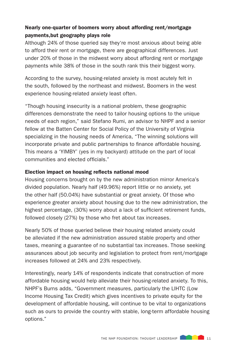#### Nearly one-quarter of boomers worry about affording rent/mortgage payments,but geography plays role

Although 24% of those queried say they're most anxious about being able to afford their rent or mortgage, there are geographical differences. Just under 20% of those in the midwest worry about affording rent or mortgage payments while 38% of those in the south rank this their biggest worry.

According to the survey, housing-related anxiety is most acutely felt in the south, followed by the northeast and midwest. Boomers in the west experience housing-related anxiety least often.

"Though housing insecurity is a national problem, these geographic differences demonstrate the need to tailor housing options to the unique needs of each region," said Stefano Rumi, an advisor to NHPF and a senior fellow at the Batten Center for Social Policy of the University of Virginia specializing in the housing needs of America, "The winning solutions will incorporate private and public partnerships to finance affordable housing. This means a 'YIMBY' (yes in my backyard) attitude on the part of local communities and elected officials."

#### Election impact on housing reflects national mood

Housing concerns brought on by the new administration mirror America's divided population. Nearly half (49.96%) report little or no anxiety, yet the other half (50.04%) have substantial or great anxiety. Of those who experience greater anxiety about housing due to the new administration, the highest percentage, (30%) worry about a lack of sufficient retirement funds, followed closely (27%) by those who fret about tax increases.

Nearly 50% of those queried believe their housing related anxiety could be alleviated if the new administration assured stable property and other taxes, meaning a guarantee of no substantial tax increases. Those seeking assurances about job security and legislation to protect from rent/mortgage increases followed at 24% and 23% respectively.

Interestingly, nearly 14% of respondents indicate that construction of more affordable housing would help alleviate their housing-related anxiety. To this, NHPF's Burns adds, "Government measures, particularly the LIHTC (Low Income Housing Tax Credit) which gives incentives to private equity for the development of affordable housing, will continue to be vital to organizations such as ours to provide the country with stable, long-term affordable housing options."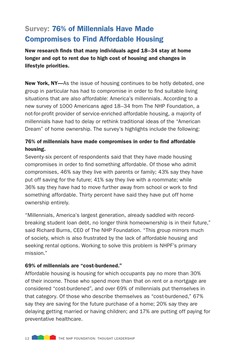### Survey: 76% of Millennials Have Made Compromises to Find Affordable Housing

New research finds that many individuals aged 18–34 stay at home longer and opt to rent due to high cost of housing and changes in lifestyle priorities.

New York, NY—As the issue of housing continues to be hotly debated, one group in particular has had to compromise in order to find suitable living situations that are also affordable: America's millennials. According to a new survey of 1000 Americans aged 18–34 from The NHP Foundation, a not-for-profit provider of service-enriched affordable housing, a majority of millennials have had to delay or rethink traditional ideas of the "American Dream" of home ownership. The survey's highlights include the following:

#### 76% of millennials have made compromises in order to find affordable housing.

Seventy-six percent of respondents said that they have made housing compromises in order to find something affordable. Of those who admit compromises, 46% say they live with parents or family; 43% say they have put off saving for the future; 41% say they live with a roommate; while 36% say they have had to move further away from school or work to find something affordable. Thirty percent have said they have put off home ownership entirely.

"Millennials, America's largest generation, already saddled with recordbreaking student loan debt, no longer think homeownership is in their future," said Richard Burns, CEO of The NHP Foundation. "This group mirrors much of society, which is also frustrated by the lack of affordable housing and seeking rental options. Working to solve this problem is NHPF's primary mission."

#### 69% of millennials are "cost-burdened."

Affordable housing is housing for which occupants pay no more than 30% of their income. Those who spend more than that on rent or a mortgage are considered "cost-burdened", and over 69% of millennials put themselves in that category. Of those who describe themselves as "cost-burdened," 67% say they are saving for the future purchase of a home; 20% say they are delaying getting married or having children; and 17% are putting off paying for preventative healthcare.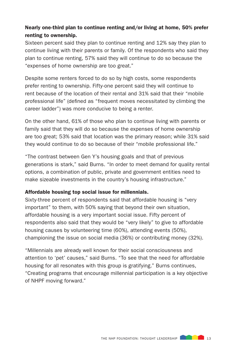#### Nearly one-third plan to continue renting and/or living at home, 50% prefer renting to ownership.

Sixteen percent said they plan to continue renting and 12% say they plan to continue living with their parents or family. Of the respondents who said they plan to continue renting, 57% said they will continue to do so because the "expenses of home ownership are too great."

Despite some renters forced to do so by high costs, some respondents prefer renting to ownership. Fifty-one percent said they will continue to rent because of the location of their rental and 31% said that their "mobile professional life" (defined as "frequent moves necessitated by climbing the career ladder") was more conducive to being a renter.

On the other hand, 61% of those who plan to continue living with parents or family said that they will do so because the expenses of home ownership are too great; 53% said that location was the primary reason; while 31% said they would continue to do so because of their "mobile professional life."

"The contrast between Gen Y's housing goals and that of previous generations is stark," said Burns. "In order to meet demand for quality rental options, a combination of public, private and government entities need to make sizeable investments in the country's housing infrastructure."

#### Affordable housing top social issue for millennials.

Sixty-three percent of respondents said that affordable housing is "very important" to them, with 50% saying that beyond their own situation, affordable housing is a very important social issue. Fifty percent of respondents also said that they would be "very likely" to give to affordable housing causes by volunteering time (60%), attending events (50%), championing the issue on social media (36%) or contributing money (32%).

"Millennials are already well known for their social consciousness and attention to 'pet' causes," said Burns. "To see that the need for affordable housing for all resonates with this group is gratifying." Burns continues, "Creating programs that encourage millennial participation is a key objective of NHPF moving forward."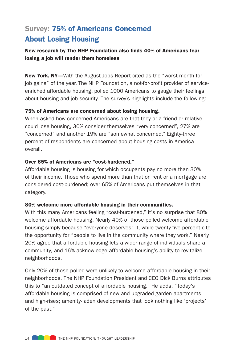## Survey: 75% of Americans Concerned About Losing Housing

#### New research by The NHP Foundation also finds 40% of Americans fear losing a job will render them homeless

New York, NY-With the August Jobs Report cited as the "worst month for job gains" of the year, The NHP Foundation, a not-for-profit provider of serviceenriched affordable housing, polled 1000 Americans to gauge their feelings about housing and job security. The survey's highlights include the following:

#### 75% of Americans are concerned about losing housing.

When asked how concerned Americans are that they or a friend or relative could lose housing, 30% consider themselves "very concerned", 27% are "concerned" and another 19% are "somewhat concerned." Eighty-three percent of respondents are concerned about housing costs in America overall.

#### Over 65% of Americans are "cost-burdened."

Affordable housing is housing for which occupants pay no more than 30% of their income. Those who spend more than that on rent or a mortgage are considered cost-burdened; over 65% of Americans put themselves in that category.

#### 80% welcome more affordable housing in their communities.

With this many Americans feeling "cost-burdened," it's no surprise that 80% welcome affordable housing. Nearly 40% of those polled welcome affordable housing simply because "everyone deserves" it, while twenty-five percent cite the opportunity for "people to live in the community where they work." Nearly 20% agree that affordable housing lets a wider range of individuals share a community, and 16% acknowledge affordable housing's ability to revitalize neighborhoods.

Only 20% of those polled were unlikely to welcome affordable housing in their neighborhoods. The NHP Foundation President and CEO Dick Burns attributes this to "an outdated concept of affordable housing." He adds, "Today's affordable housing is comprised of new and upgraded garden apartments and high-rises; amenity-laden developments that look nothing like 'projects' of the past."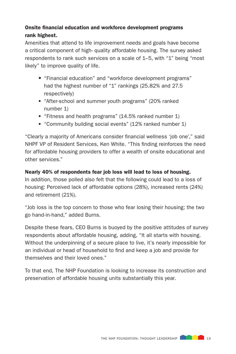### Onsite financial education and workforce development programs rank highest.

Amenities that attend to life improvement needs and goals have become a critical component of high- quality affordable housing. The survey asked respondents to rank such services on a scale of 1–5, with "1" being "most likely" to improve quality of life.

- "Financial education" and "workforce development programs" had the highest number of "1" rankings (25.82% and 27.5) respectively)
- "After-school and summer youth programs" (20% ranked number 1)
- "Fitness and health programs" (14.5% ranked number 1)
- "Community building social events" (12% ranked number 1)

"Clearly a majority of Americans consider financial wellness 'job one'," said NHPF VP of Resident Services, Ken White. "This finding reinforces the need for affordable housing providers to offer a wealth of onsite educational and other services."

#### Nearly 40% of respondents fear job loss will lead to loss of housing.

In addition, those polled also felt that the following could lead to a loss of housing: Perceived lack of affordable options (28%), increased rents (24%) and retirement (21%).

"Job loss is the top concern to those who fear losing their housing; the two go hand-in-hand," added Burns.

Despite these fears, CEO Burns is buoyed by the positive attitudes of survey respondents about affordable housing, adding, "It all starts with housing. Without the underpinning of a secure place to live, it's nearly impossible for an individual or head of household to find and keep a job and provide for themselves and their loved ones."

To that end, The NHP Foundation is looking to increase its construction and preservation of affordable housing units substantially this year.